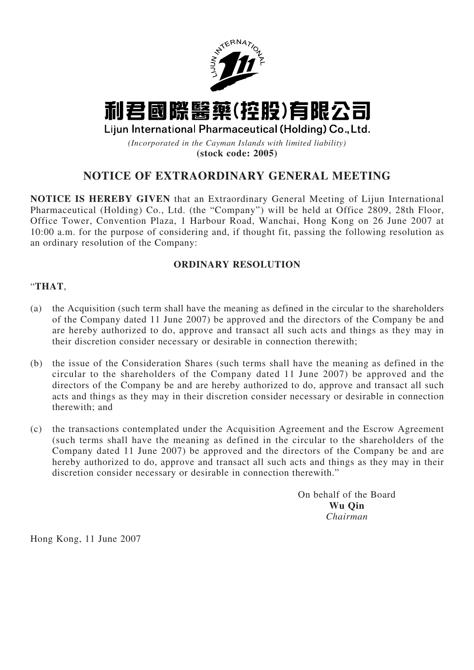

# 利君國際醫藥(控股)有限公司

Lijun International Pharmaceutical (Holding) Co., Ltd.

*(Incorporated in the Cayman Islands with limited liability)* **(stock code: 2005)**

## **NOTICE OF EXTRAORDINARY GENERAL MEETING**

**NOTICE IS HEREBY GIVEN** that an Extraordinary General Meeting of Lijun International Pharmaceutical (Holding) Co., Ltd. (the "Company") will be held at Office 2809, 28th Floor, Office Tower, Convention Plaza, 1 Harbour Road, Wanchai, Hong Kong on 26 June 2007 at 10:00 a.m. for the purpose of considering and, if thought fit, passing the following resolution as an ordinary resolution of the Company:

### **ORDINARY RESOLUTION**

#### "**THAT**,

- (a) the Acquisition (such term shall have the meaning as defined in the circular to the shareholders of the Company dated 11 June 2007) be approved and the directors of the Company be and are hereby authorized to do, approve and transact all such acts and things as they may in their discretion consider necessary or desirable in connection therewith;
- (b) the issue of the Consideration Shares (such terms shall have the meaning as defined in the circular to the shareholders of the Company dated 11 June 2007) be approved and the directors of the Company be and are hereby authorized to do, approve and transact all such acts and things as they may in their discretion consider necessary or desirable in connection therewith; and
- (c) the transactions contemplated under the Acquisition Agreement and the Escrow Agreement (such terms shall have the meaning as defined in the circular to the shareholders of the Company dated 11 June 2007) be approved and the directors of the Company be and are hereby authorized to do, approve and transact all such acts and things as they may in their discretion consider necessary or desirable in connection therewith."

On behalf of the Board **Wu Qin** *Chairman*

Hong Kong, 11 June 2007